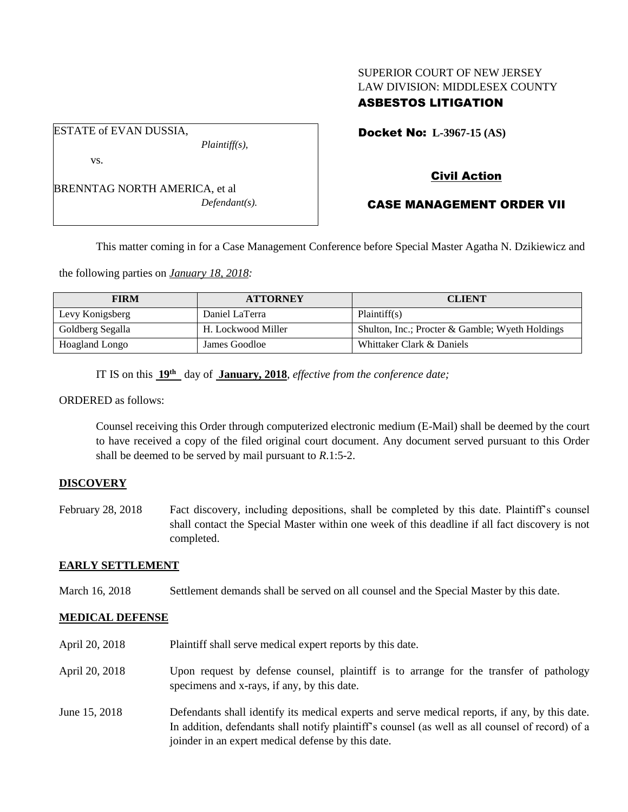# SUPERIOR COURT OF NEW JERSEY LAW DIVISION: MIDDLESEX COUNTY

## ASBESTOS LITIGATION

Docket No: **L-3967-15 (AS)** 

vs.

ESTATE of EVAN DUSSIA,

BRENNTAG NORTH AMERICA, et al *Defendant(s).*

*Plaintiff(s),*

Civil Action

## CASE MANAGEMENT ORDER VII

This matter coming in for a Case Management Conference before Special Master Agatha N. Dzikiewicz and

the following parties on *January 18, 2018:*

| <b>FIRM</b>      | <b>ATTORNEY</b>    | <b>CLIENT</b>                                   |
|------------------|--------------------|-------------------------------------------------|
| Levy Konigsberg  | Daniel LaTerra     | Plaintiff(s)                                    |
| Goldberg Segalla | H. Lockwood Miller | Shulton, Inc.; Procter & Gamble; Wyeth Holdings |
| Hoagland Longo   | James Goodloe      | Whittaker Clark & Daniels                       |

IT IS on this **19th** day of **January, 2018**, *effective from the conference date;*

ORDERED as follows:

Counsel receiving this Order through computerized electronic medium (E-Mail) shall be deemed by the court to have received a copy of the filed original court document. Any document served pursuant to this Order shall be deemed to be served by mail pursuant to *R*.1:5-2.

### **DISCOVERY**

February 28, 2018 Fact discovery, including depositions, shall be completed by this date. Plaintiff's counsel shall contact the Special Master within one week of this deadline if all fact discovery is not completed.

### **EARLY SETTLEMENT**

March 16, 2018 Settlement demands shall be served on all counsel and the Special Master by this date.

### **MEDICAL DEFENSE**

April 20, 2018 Plaintiff shall serve medical expert reports by this date. April 20, 2018 Upon request by defense counsel, plaintiff is to arrange for the transfer of pathology specimens and x-rays, if any, by this date. June 15, 2018 Defendants shall identify its medical experts and serve medical reports, if any, by this date. In addition, defendants shall notify plaintiff's counsel (as well as all counsel of record) of a joinder in an expert medical defense by this date.